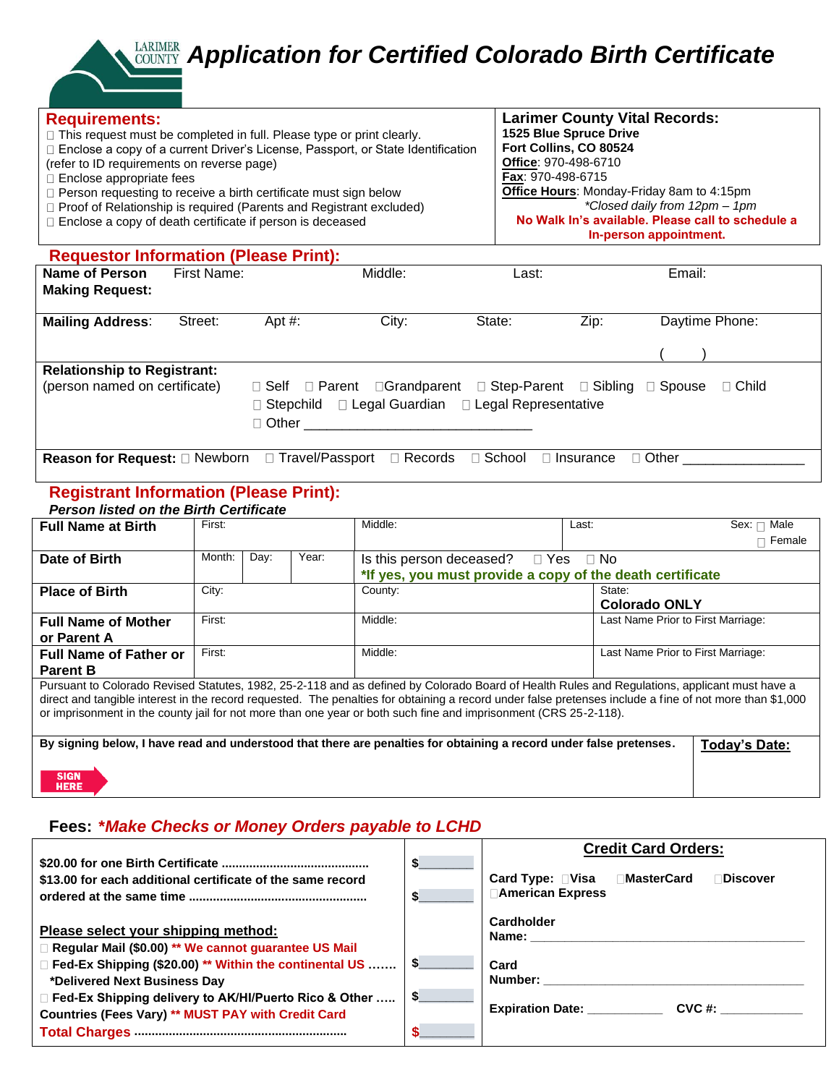# *Application for Certified Colorado Birth Certificate*

| <b>Requirements:</b>                                   | $\Box$ This request must be completed in full. Please type or print clearly.<br>□ Enclose a copy of a current Driver's License, Passport, or State Identification<br>(refer to ID requirements on reverse page)<br>□ Enclose appropriate fees<br>$\Box$ Person requesting to receive a birth certificate must sign below<br>□ Proof of Relationship is required (Parents and Registrant excluded)<br>□ Enclose a copy of death certificate if person is deceased |                         |                                                                                                                                       |          | <b>Larimer County Vital Records:</b><br>1525 Blue Spruce Drive<br>Fort Collins, CO 80524<br>Office: 970-498-6710<br>Fax: 970-498-6715<br>Office Hours: Monday-Friday 8am to 4:15pm<br>*Closed daily from 12pm - 1pm<br>No Walk In's available. Please call to schedule a<br>In-person appointment. |  |  |  |
|--------------------------------------------------------|------------------------------------------------------------------------------------------------------------------------------------------------------------------------------------------------------------------------------------------------------------------------------------------------------------------------------------------------------------------------------------------------------------------------------------------------------------------|-------------------------|---------------------------------------------------------------------------------------------------------------------------------------|----------|----------------------------------------------------------------------------------------------------------------------------------------------------------------------------------------------------------------------------------------------------------------------------------------------------|--|--|--|
| <b>Requestor Information (Please Print):</b>           |                                                                                                                                                                                                                                                                                                                                                                                                                                                                  |                         |                                                                                                                                       |          |                                                                                                                                                                                                                                                                                                    |  |  |  |
| <b>Name of Person</b><br><b>Making Request:</b>        | First Name:                                                                                                                                                                                                                                                                                                                                                                                                                                                      |                         | Middle:                                                                                                                               | Last:    | Email:                                                                                                                                                                                                                                                                                             |  |  |  |
| <b>Mailing Address:</b>                                | Street:                                                                                                                                                                                                                                                                                                                                                                                                                                                          | Apt $#$ :               | City:                                                                                                                                 | State:   | Daytime Phone:<br>Zip:                                                                                                                                                                                                                                                                             |  |  |  |
| <b>Relationship to Registrant:</b>                     |                                                                                                                                                                                                                                                                                                                                                                                                                                                                  |                         |                                                                                                                                       |          |                                                                                                                                                                                                                                                                                                    |  |  |  |
| (person named on certificate)                          |                                                                                                                                                                                                                                                                                                                                                                                                                                                                  | $\sqcap$ Other $\sqcap$ | $\Box$ Self $\Box$ Parent $\Box$ Grandparent $\Box$ Step-Parent $\Box$ Sibling<br>□ Stepchild □ Legal Guardian □ Legal Representative |          | $\Box$ Spouse<br>$\Box$ Child                                                                                                                                                                                                                                                                      |  |  |  |
| <b>Reason for Request:</b> □ Newborn □ Travel/Passport |                                                                                                                                                                                                                                                                                                                                                                                                                                                                  |                         | $\Box$ Records                                                                                                                        | □ School | $\Box$ Other<br>$\Box$ Insurance                                                                                                                                                                                                                                                                   |  |  |  |

## **Registrant Information (Please Print):**

**HERE** 

| <b>Person listed on the Birth Certificate</b> |        |      |       |                                                                                                                                                                                                                                                                                                                                                                                                                               |       |                                    |                 |
|-----------------------------------------------|--------|------|-------|-------------------------------------------------------------------------------------------------------------------------------------------------------------------------------------------------------------------------------------------------------------------------------------------------------------------------------------------------------------------------------------------------------------------------------|-------|------------------------------------|-----------------|
| <b>Full Name at Birth</b>                     | First: |      |       | Middle:                                                                                                                                                                                                                                                                                                                                                                                                                       | Last: |                                    | Sex: □ Male     |
|                                               |        |      |       |                                                                                                                                                                                                                                                                                                                                                                                                                               |       |                                    | $\sqcap$ Female |
| Date of Birth                                 | Month: | Day: | Year: | Is this person deceased? $\square$ Yes                                                                                                                                                                                                                                                                                                                                                                                        |       | $\Box$ No                          |                 |
|                                               |        |      |       | *If yes, you must provide a copy of the death certificate                                                                                                                                                                                                                                                                                                                                                                     |       |                                    |                 |
| <b>Place of Birth</b>                         | City:  |      |       | County:                                                                                                                                                                                                                                                                                                                                                                                                                       |       | State:                             |                 |
|                                               |        |      |       |                                                                                                                                                                                                                                                                                                                                                                                                                               |       | <b>Colorado ONLY</b>               |                 |
| <b>Full Name of Mother</b>                    | First: |      |       | Middle:                                                                                                                                                                                                                                                                                                                                                                                                                       |       | Last Name Prior to First Marriage: |                 |
| or Parent A                                   |        |      |       |                                                                                                                                                                                                                                                                                                                                                                                                                               |       |                                    |                 |
| <b>Full Name of Father or</b>                 | First: |      |       | Middle:                                                                                                                                                                                                                                                                                                                                                                                                                       |       | Last Name Prior to First Marriage: |                 |
| <b>Parent B</b>                               |        |      |       |                                                                                                                                                                                                                                                                                                                                                                                                                               |       |                                    |                 |
|                                               |        |      |       | Pursuant to Colorado Revised Statutes, 1982, 25-2-118 and as defined by Colorado Board of Health Rules and Regulations, applicant must have a<br>direct and tangible interest in the record requested. The penalties for obtaining a record under false pretenses include a fine of not more than \$1,000<br>or imprisonment in the county jail for not more than one year or both such fine and imprisonment (CRS 25-2-118). |       |                                    |                 |
|                                               |        |      |       | By signing below, I have read and understood that there are penalties for obtaining a record under false pretenses.                                                                                                                                                                                                                                                                                                           |       |                                    | Today's Date:   |
| <b>SIGN</b>                                   |        |      |       |                                                                                                                                                                                                                                                                                                                                                                                                                               |       |                                    |                 |

#### **Fees: \****Make Checks or Money Orders payable to LCHD*

| <b>Credit Card Orders:</b>                                               |
|--------------------------------------------------------------------------|
|                                                                          |
| Card Type: □Visa □ MasterCard<br><b>Discover</b>                         |
| <b>American Express</b>                                                  |
| Cardholder                                                               |
| Name:                                                                    |
|                                                                          |
| Card                                                                     |
| Number: ___________                                                      |
|                                                                          |
| <b>Expiration Date:</b><br>$CVC \#$                                      |
|                                                                          |
| $\Box$ Fed-Ex Shipping (\$20.00) ** Within the continental US $\Diamond$ |